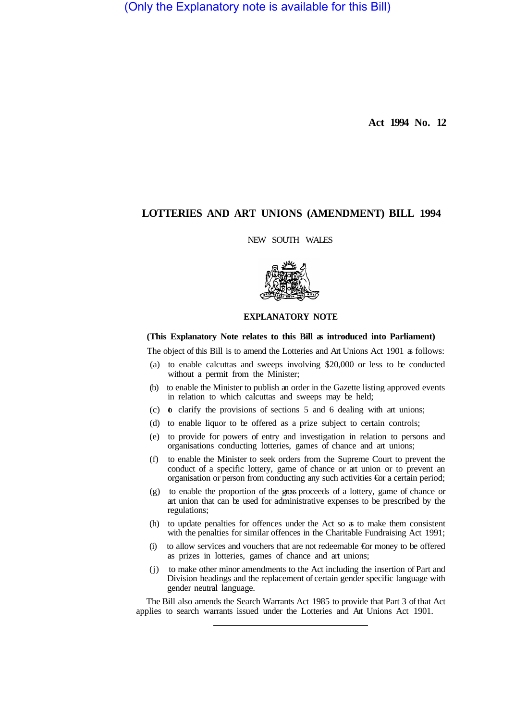(Only the Explanatory note is available for this Bill)

**Act 1994 No. 12** 

## **LOTTERIES AND ART UNIONS (AMENDMENT) BILL 1994**

## NEW SOUTH WALES



## **EXPLANATORY NOTE**

## **(This Explanatory Note relates to this Bill as introduced into Parliament)**

The object of this Bill is to amend the Lotteries and Art Unions Act 1901 as follows:

- (a) to enable calcuttas and sweeps involving \$20,000 or less to be conducted without a permit from the Minister;
- (b) to enable the Minister to publish an order in the Gazette listing approved events in relation to which calcuttas and sweeps may be held;
- (c)  $\bullet$  clarify the provisions of sections 5 and 6 dealing with art unions;
- (d) to enable liquor to be offered as a prize subject to certain controls;
- (e) to provide for powers of entry and investigation in relation to persons and organisations conducting lotteries, games of chance and art unions;
- (f) to enable the Minister to seek orders from the Supreme Court to prevent the conduct of a specific lottery, game of chance or art union or to prevent an organisation or person from conducting any such activities  $\epsilon$  a certain period;
- (g) to enable the proportion of the gross proceeds of a lottery, game of chance or art union that can be used for administrative expenses to be prescribed by the regulations;
- (h) to update penalties for offences under the Act so as to make them consistent with the penalties for similar offences in the Charitable Fundraising Act 1991;
- (i) to allow services and vouchers that are not redeemable €or money to be offered as prizes in lotteries, games of chance and art unions;
- (j) to make other minor amendments to the Act including the insertion of Part and Division headings and the replacement of certain gender specific language with gender neutral language.

The Bill also amends the Search Warrants Act 1985 to provide that Part 3 of that Act applies to search warrants issued under the Lotteries and Art Unions Act 1901.